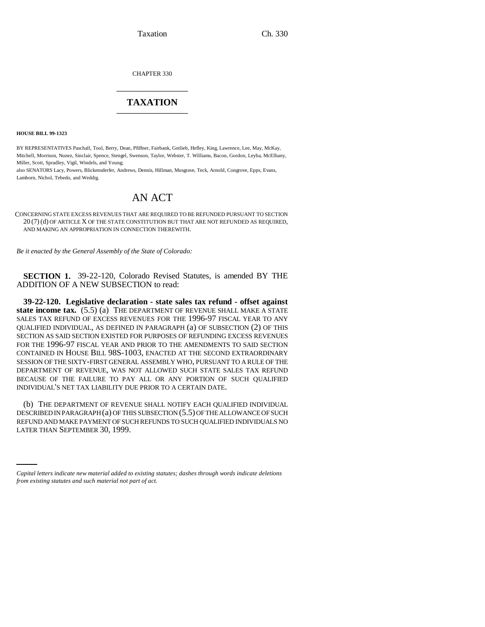Taxation Ch. 330

CHAPTER 330 \_\_\_\_\_\_\_\_\_\_\_\_\_\_\_

## **TAXATION** \_\_\_\_\_\_\_\_\_\_\_\_\_\_\_

**HOUSE BILL 99-1323** 

BY REPRESENTATIVES Paschall, Tool, Berry, Dean, Pfiffner, Fairbank, Gotlieb, Hefley, King, Lawrence, Lee, May, McKay, Mitchell, Morrison, Nunez, Sinclair, Spence, Stengel, Swenson, Taylor, Webster, T. Williams, Bacon, Gordon, Leyba, McElhany, Miller, Scott, Spradley, Vigil, Windels, and Young;

also SENATORS Lacy, Powers, Blickensderfer, Andrews, Dennis, Hillman, Musgrave, Teck, Arnold, Congrove, Epps, Evans, Lamborn, Nichol, Tebedo, and Weddig.

## AN ACT

CONCERNING STATE EXCESS REVENUES THAT ARE REQUIRED TO BE REFUNDED PURSUANT TO SECTION 20 (7) (d) OF ARTICLE X OF THE STATE CONSTITUTION BUT THAT ARE NOT REFUNDED AS REQUIRED, AND MAKING AN APPROPRIATION IN CONNECTION THEREWITH.

*Be it enacted by the General Assembly of the State of Colorado:*

**SECTION 1.** 39-22-120, Colorado Revised Statutes, is amended BY THE ADDITION OF A NEW SUBSECTION to read:

**39-22-120. Legislative declaration - state sales tax refund - offset against state income tax.** (5.5) (a) THE DEPARTMENT OF REVENUE SHALL MAKE A STATE SALES TAX REFUND OF EXCESS REVENUES FOR THE 1996-97 FISCAL YEAR TO ANY QUALIFIED INDIVIDUAL, AS DEFINED IN PARAGRAPH (a) OF SUBSECTION (2) OF THIS SECTION AS SAID SECTION EXISTED FOR PURPOSES OF REFUNDING EXCESS REVENUES FOR THE 1996-97 FISCAL YEAR AND PRIOR TO THE AMENDMENTS TO SAID SECTION CONTAINED IN HOUSE BILL 98S-1003, ENACTED AT THE SECOND EXTRAORDINARY SESSION OF THE SIXTY-FIRST GENERAL ASSEMBLY WHO, PURSUANT TO A RULE OF THE DEPARTMENT OF REVENUE, WAS NOT ALLOWED SUCH STATE SALES TAX REFUND BECAUSE OF THE FAILURE TO PAY ALL OR ANY PORTION OF SUCH QUALIFIED INDIVIDUAL'S NET TAX LIABILITY DUE PRIOR TO A CERTAIN DATE.

REFUND AND MAKE PAYMENT OF SUCH REFUNDS TO SUCH QUALIFIED INDIVIDUALS NO (b) THE DEPARTMENT OF REVENUE SHALL NOTIFY EACH QUALIFIED INDIVIDUAL DESCRIBED IN PARAGRAPH (a) OF THIS SUBSECTION (5.5) OF THE ALLOWANCE OF SUCH LATER THAN SEPTEMBER 30, 1999.

*Capital letters indicate new material added to existing statutes; dashes through words indicate deletions from existing statutes and such material not part of act.*